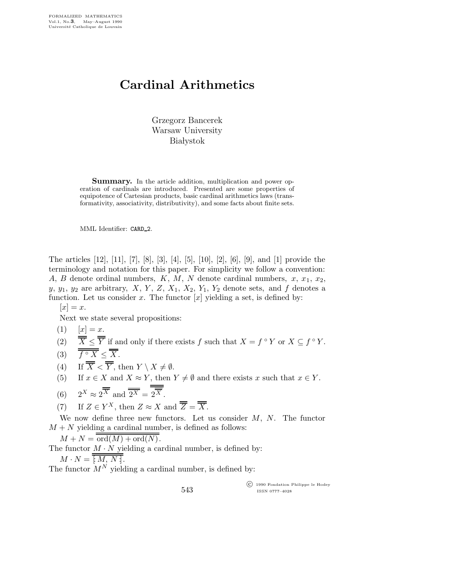## Cardinal Arithmetics

Grzegorz Bancerek Warsaw University **Białystok** 

Summary. In the article addition, multiplication and power operation of cardinals are introduced. Presented are some properties of equipotence of Cartesian products, basic cardinal arithmetics laws (transformativity, associativity, distributivity), and some facts about finite sets.

MML Identifier: CARD 2.

The articles [12], [11], [7], [8], [3], [4], [5], [10], [2], [6], [9], and [1] provide the terminology and notation for this paper. For simplicity we follow a convention: A, B denote ordinal numbers, K, M, N denote cardinal numbers,  $x, x_1, x_2$ , y,  $y_1, y_2$  are arbitrary, X, Y, Z, X<sub>1</sub>, X<sub>2</sub>, Y<sub>1</sub>, Y<sub>2</sub> denote sets, and f denotes a function. Let us consider x. The functor  $[x]$  yielding a set, is defined by:

 $[x] = x.$ 

Next we state several propositions:

- $(1)$   $[x] = x.$
- (2)  $\overline{\overline{X}} \leq \overline{\overline{Y}}$  if and only if there exists f such that  $X = f \circ Y$  or  $X \subseteq f \circ Y$ .
- (3)  $\overline{\overline{f \circ X}} \leq \overline{\overline{X}}$ .
- (4) If  $\overline{\overline{X}} < \overline{\overline{Y}}$ , then  $Y \setminus X \neq \emptyset$ .
- (5) If  $x \in X$  and  $X \approx Y$ , then  $Y \neq \emptyset$  and there exists x such that  $x \in Y$ .

(6) 
$$
2^X \approx 2^{\overline{X}}
$$
 and  $\overline{2^X} = 2^{\overline{X}}$ .

(7) If  $Z \in Y^X$ , then  $Z \approx X$  and  $\overline{\overline{Z}} = \overline{\overline{X}}$ .

We now define three new functors. Let us consider  $M$ ,  $N$ . The functor  $M + N$  yielding a cardinal number, is defined as follows:

543

 $M + N = \overline{\text{ord}(M) + \text{ord}(N)}.$ 

The functor  $M \cdot N$  yielding a cardinal number, is defined by:  $M \cdot N = \overline{M, N!}.$ 

The functor  $M^N$  yielding a cardinal number, is defined by:

 c 1990 Fondation Philippe le Hodey ISSN 0777–4028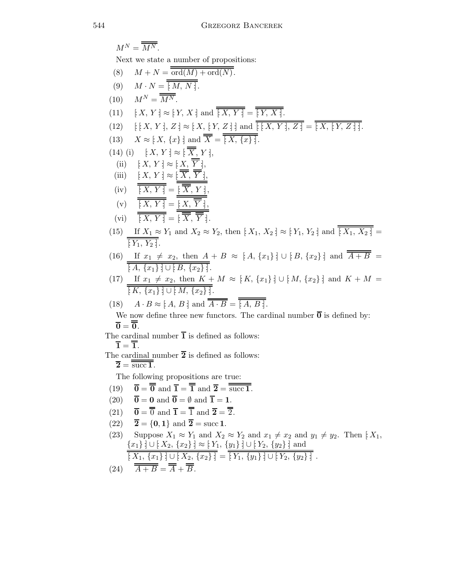$M^N = \overline{\overline{M^N}}$ Next we state a number of propositions: (8)  $M + N = \overline{\text{ord}(M) + \text{ord}(N)}$ . (9)  $M \cdot N = \overline{[M, N!]}.$  $(10)$   $M^N = \overline{M^N}$ . (11)  $[X, Y] \approx [Y, X]$  and  $[X, Y] = [Y, X]$ .  $(12) \quad [\; [X, Y], Z] \approx [X, [Y, Z]] \text{ and } [\; [X, Y], Z] = [X, [Y, Z]]].$ (13)  $X \approx [X, \{x\}]$  and  $\overline{\overline{X}} = \overline{\overline{[X, \{x\}]}}$ . (14) (i)  $[X, Y] \approx \left[\overline{X}, Y\right],$ (ii)  $[X, Y] \approx [X, \overline{Y}],$ (iii)  $[X, Y] \approx [X, Y],$ (iv)  $[X, Y] = [X, Y]$ , (v)  $[X, Y] = [X, Y],$ (vi)  $[X, Y] = [X, Y]$ . (15) If  $X_1 \approx Y_1$  and  $X_2 \approx Y_2$ , then  $[X_1, X_2] \approx [Y_1, Y_2]$  and  $[X_1, X_2] =$  $[Y_1, Y_2]$ . (16) If  $x_1 \neq x_2$ , then  $A + B \approx [A, \{x_1\}] \cup [B, \{x_2\}]$  and  $A + B =$  $[A, \{x_1\}] \cup [B, \{x_2\}].$ (17) If  $x_1 \neq x_2$ , then  $K + M \approx [K, \{x_1\}] \cup [M, \{x_2\}]$  and  $K + M =$  $[K, \{x_1\}]\cup [M, \{x_2\}].$ (18)  $A \cdot B \approx [A, B]$  and  $\overline{A \cdot B} = \overline{[A, B]}.$ We now define three new functors. The cardinal number  $\overline{0}$  is defined by:  $\overline{0} = \overline{0}$ . The cardinal number  $\overline{1}$  is defined as follows:  $\overline{1} = \overline{1}$ . The cardinal number  $\overline{2}$  is defined as follows:  $\overline{2} = \overline{\mathrm{succ1}}$ . The following propositions are true: (19)  $\overline{0} = \overline{\overline{0}}$  and  $\overline{1} = \overline{\overline{1}}$  and  $\overline{2} = \overline{\overline{\text{succ1}}}$ . (20)  $\overline{\mathbf{0}} = \mathbf{0}$  and  $\overline{\mathbf{0}} = \emptyset$  and  $\overline{\mathbf{1}} = \mathbf{1}$ . (21)  $\overline{\mathbf{0}} = \overline{\overline{\mathbf{0}}}$  and  $\overline{\mathbf{1}} = \overline{\overline{\mathbf{1}}}$  and  $\overline{\mathbf{2}} = \overline{\overline{\mathbf{2}}}$ . (22)  $\overline{2} = \{0, 1\}$  and  $\overline{2} = \text{succ 1}.$ (23) Suppose  $X_1 \approx Y_1$  and  $X_2 \approx Y_2$  and  $x_1 \neq x_2$  and  $y_1 \neq y_2$ . Then  $[X_1,$  ${x_1}$  :  $\cup$  [:  $X_2$ ,  ${x_2}$  :  $\in$  [:  $Y_1$ ,  ${y_1}$  :  $\cup$  [:  $Y_2$ ,  ${y_2}$  : and  $[X_1, \{x_1\}]\cup [X_2, \{x_2\}] = [Y_1, \{y_1\}]\cup [Y_2, \{y_2\}]$ .

$$
(24) \quad \overline{\overline{A+B}} = \overline{\overline{A}} + \overline{\overline{B}}.
$$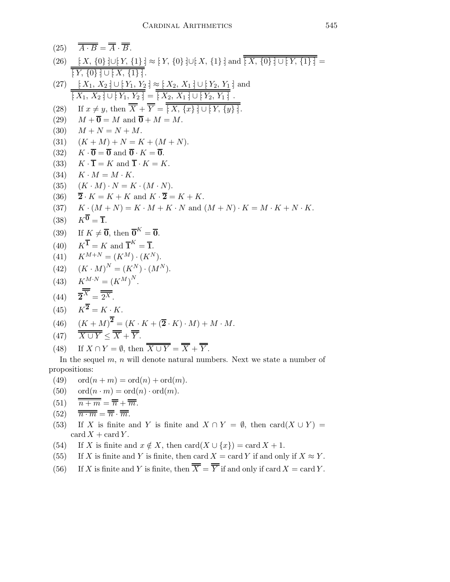(25) 
$$
\overline{A \cdot B} = \overline{A} \cdot \overline{B}
$$
.  
\n(26)  $\underline{[X, \{0\}]\cup [Y, \{1\}]} \approx [Y, \{0\}]\cup [X, \{1\}]$  and  $\overline{[X, \{0\}]\cup [Y, \{1\}]} = [\overline{Y, \{0\}]\cup [Y, \{1\}]}.$   
\n(27)  $\underline{[X_1, X_2]\cup [Y_1, Y_2]} \approx [\overline{X_2, X_1]\cup [Y_2, Y_1]}$  and  $\overline{[X_1, X_2]\cup [Y_1, Y_2]} = [\overline{X_2, X_1]\cup [Y_2, Y_1]}$ .  
\n(28) If  $x \neq y$ , then  $\overline{X} + \overline{Y} = [\overline{X, \{x\}]\cup [Y, \{y\}]}.$   
\n(29)  $M + \overline{0} = M$  and  $\overline{0} + M = M$ .  
\n(30)  $M + N = N + M$ .  
\n(31)  $(K + M) + N = K + (M + N)$ .  
\n(32)  $K \cdot \overline{0} = \overline{0}$  and  $\overline{0} \cdot K = \overline{0}$ .  
\n(33)  $K \cdot \overline{1} = K$  and  $\overline{1} \cdot K = K$ .  
\n(34)  $K \cdot M = M \cdot K$ .  
\n(35)  $(K \cdot M) \cdot N = K \cdot (M \cdot N)$ .  
\n(36)  $\overline{2} \cdot K = K + K$  and  $K \cdot \overline{2} = K + K$ .  
\n(37)  $K \cdot (M + N) = K \cdot M + K \cdot N$  and  $(M + N) \cdot K = M \cdot K + N \cdot K$ .  
\n(38)  $K^{\overline{0}} = \overline{1}$ .  
\n(40)  $K^{\overline{1}} = K$  and  $\overline{1}^K = \overline{0}$ .  
\n(40)  $K^{\overline{1}} = K$  and  $\overline{1}^K = \overline{1}$ .  
\n(41)  $K^{M+N} =$ 

- (49)  $\text{ord}(n + m) = \text{ord}(n) + \text{ord}(m).$
- (50)  $\operatorname{ord}(n \cdot m) = \operatorname{ord}(n) \cdot \operatorname{ord}(m)$ .

$$
(51) \quad \overline{n+m} = \overline{\overline{n}} + \overline{\overline{m}}.
$$

$$
(52) \quad \overline{n \cdot m} = \overline{n} \cdot \overline{m}.
$$

- (53) If X is finite and Y is finite and  $X \cap Y = \emptyset$ , then card(X ∪ Y) =  $\operatorname{card} X + \operatorname{card} Y$ .
- (54) If X is finite and  $x \notin X$ , then card $(X \cup \{x\}) = \text{card } X + 1$ .
- (55) If X is finite and Y is finite, then card  $X = \text{card } Y$  if and only if  $X \approx Y$ .
- (56) If X is finite and Y is finite, then  $\overline{\overline{X}} = \overline{\overline{Y}}$  if and only if card  $X = \text{card } Y$ .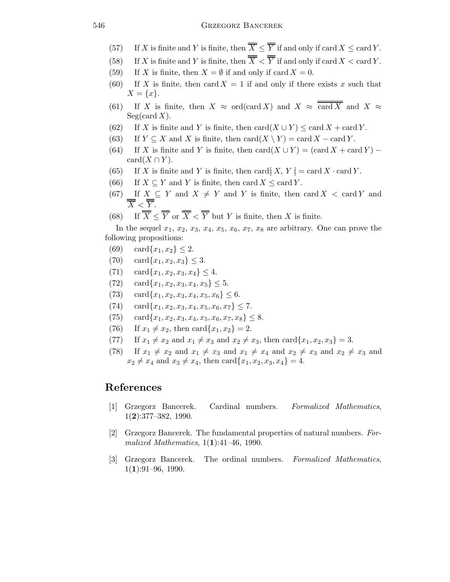## 546 Grzegorz Bancerek

- (57) If X is finite and Y is finite, then  $\overline{\overline{X}} \leq \overline{\overline{Y}}$  if and only if card  $X \leq$  card Y.
- (58) If X is finite and Y is finite, then  $\overline{\overline{X}} < \overline{\overline{Y}}$  if and only if card X < card Y.
- (59) If X is finite, then  $X = \emptyset$  if and only if card  $X = 0$ .
- (60) If X is finite, then card  $X = 1$  if and only if there exists x such that  $X = \{x\}.$
- (61) If X is finite, then  $X \approx \text{ord}(\text{card } X)$  and  $X \approx \overline{\text{card } X}$  and  $X \approx$  $Seg(card X).$
- (62) If X is finite and Y is finite, then  $\text{card}(X \cup Y) \leq \text{card } X + \text{card } Y$ .
- (63) If  $Y \subseteq X$  and X is finite, then  $\text{card}(X \setminus Y) = \text{card } X \text{card } Y$ .
- (64) If X is finite and Y is finite, then  $\text{card}(X \cup Y) = (\text{card } X + \text{card } Y)$  $card(X \cap Y)$ .
- (65) If X is finite and Y is finite, then card  $[X, Y] = \text{card } X \cdot \text{card } Y$ .
- (66) If  $X \subseteq Y$  and Y is finite, then card  $X \leq \text{card } Y$ .
- (67) If  $X \subseteq Y$  and  $X \neq Y$  and Y is finite, then card  $X < \text{card } Y$  and  $\overline{\overline{X}}$  <  $\overline{\overline{Y}}$ .
- (68) If  $\overline{X}$  <  $\overline{Y}$  or  $\overline{X}$  <  $\overline{Y}$  but Y is finite, then X is finite.

In the sequel  $x_1, x_2, x_3, x_4, x_5, x_6, x_7, x_8$  are arbitrary. One can prove the following propositions:

- (69) card $\{x_1, x_2\} \leq 2$ .
- (70) card $\{x_1, x_2, x_3\} \leq 3$ .
- (71) card $\{x_1, x_2, x_3, x_4\} \leq 4$ .
- (72) card ${x_1, x_2, x_3, x_4, x_5} \leq 5.$
- (73) card ${x_1, x_2, x_3, x_4, x_5, x_6} \leq 6.$
- (74) card ${x_1, x_2, x_3, x_4, x_5, x_6, x_7} \leq 7$ .
- (75) card ${x_1, x_2, x_3, x_4, x_5, x_6, x_7, x_8} \le 8.$
- (76) If  $x_1 \neq x_2$ , then card $\{x_1, x_2\} = 2$ .
- (77) If  $x_1 \neq x_2$  and  $x_1 \neq x_3$  and  $x_2 \neq x_3$ , then card $\{x_1, x_2, x_3\} = 3$ .
- (78) If  $x_1 \neq x_2$  and  $x_1 \neq x_3$  and  $x_1 \neq x_4$  and  $x_2 \neq x_3$  and  $x_2 \neq x_3$  and  $x_2 \neq x_4$  and  $x_3 \neq x_4$ , then card $\{x_1, x_2, x_3, x_4\} = 4$ .

## References

- [1] Grzegorz Bancerek. Cardinal numbers. Formalized Mathematics,  $1(2):377-382, 1990.$
- [2] Grzegorz Bancerek. The fundamental properties of natural numbers. Formalized Mathematics,  $1(1):41-46$ , 1990.
- [3] Grzegorz Bancerek. The ordinal numbers. Formalized Mathematics,  $1(1):91-96, 1990.$